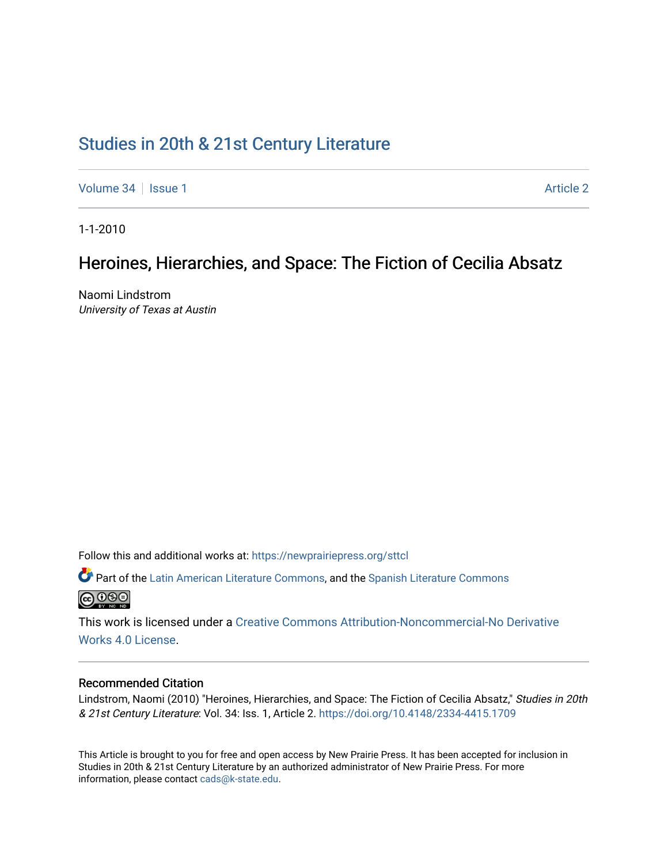# [Studies in 20th & 21st Century Literature](https://newprairiepress.org/sttcl)

[Volume 34](https://newprairiepress.org/sttcl/vol34) | [Issue 1](https://newprairiepress.org/sttcl/vol34/iss1) [Article 2](https://newprairiepress.org/sttcl/vol34/iss1/2) Article 2 Article 2 Article 2 Article 2 Article 2 Article 2 Article 2 Article 2

1-1-2010

# Heroines, Hierarchies, and Space: The Fiction of Cecilia Absatz

Naomi Lindstrom University of Texas at Austin

Follow this and additional works at: [https://newprairiepress.org/sttcl](https://newprairiepress.org/sttcl?utm_source=newprairiepress.org%2Fsttcl%2Fvol34%2Fiss1%2F2&utm_medium=PDF&utm_campaign=PDFCoverPages) 

Part of the [Latin American Literature Commons,](http://network.bepress.com/hgg/discipline/547?utm_source=newprairiepress.org%2Fsttcl%2Fvol34%2Fiss1%2F2&utm_medium=PDF&utm_campaign=PDFCoverPages) and the Spanish Literature Commons **@000** 

This work is licensed under a [Creative Commons Attribution-Noncommercial-No Derivative](https://creativecommons.org/licenses/by-nc-nd/4.0/)  [Works 4.0 License](https://creativecommons.org/licenses/by-nc-nd/4.0/).

### Recommended Citation

Lindstrom, Naomi (2010) "Heroines, Hierarchies, and Space: The Fiction of Cecilia Absatz," Studies in 20th & 21st Century Literature: Vol. 34: Iss. 1, Article 2. <https://doi.org/10.4148/2334-4415.1709>

This Article is brought to you for free and open access by New Prairie Press. It has been accepted for inclusion in Studies in 20th & 21st Century Literature by an authorized administrator of New Prairie Press. For more information, please contact [cads@k-state.edu](mailto:cads@k-state.edu).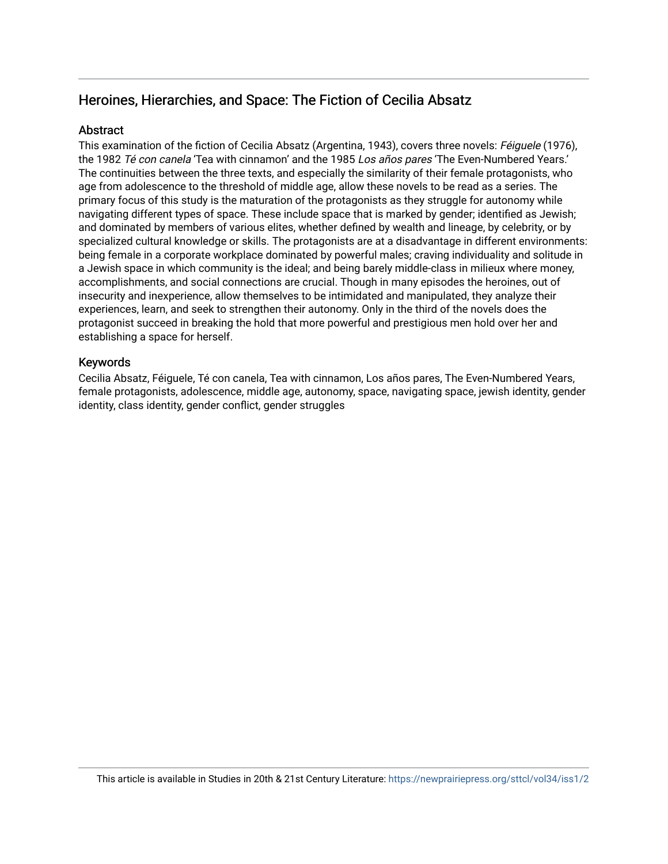# Heroines, Hierarchies, and Space: The Fiction of Cecilia Absatz

## Abstract

This examination of the fiction of Cecilia Absatz (Argentina, 1943), covers three novels: Féiguele (1976), the 1982 Té con canela 'Tea with cinnamon' and the 1985 Los años pares 'The Even-Numbered Years.' The continuities between the three texts, and especially the similarity of their female protagonists, who age from adolescence to the threshold of middle age, allow these novels to be read as a series. The primary focus of this study is the maturation of the protagonists as they struggle for autonomy while navigating different types of space. These include space that is marked by gender; identified as Jewish; and dominated by members of various elites, whether defined by wealth and lineage, by celebrity, or by specialized cultural knowledge or skills. The protagonists are at a disadvantage in different environments: being female in a corporate workplace dominated by powerful males; craving individuality and solitude in a Jewish space in which community is the ideal; and being barely middle-class in milieux where money, accomplishments, and social connections are crucial. Though in many episodes the heroines, out of insecurity and inexperience, allow themselves to be intimidated and manipulated, they analyze their experiences, learn, and seek to strengthen their autonomy. Only in the third of the novels does the protagonist succeed in breaking the hold that more powerful and prestigious men hold over her and establishing a space for herself.

## Keywords

Cecilia Absatz, Féiguele, Té con canela, Tea with cinnamon, Los años pares, The Even-Numbered Years, female protagonists, adolescence, middle age, autonomy, space, navigating space, jewish identity, gender identity, class identity, gender conflict, gender struggles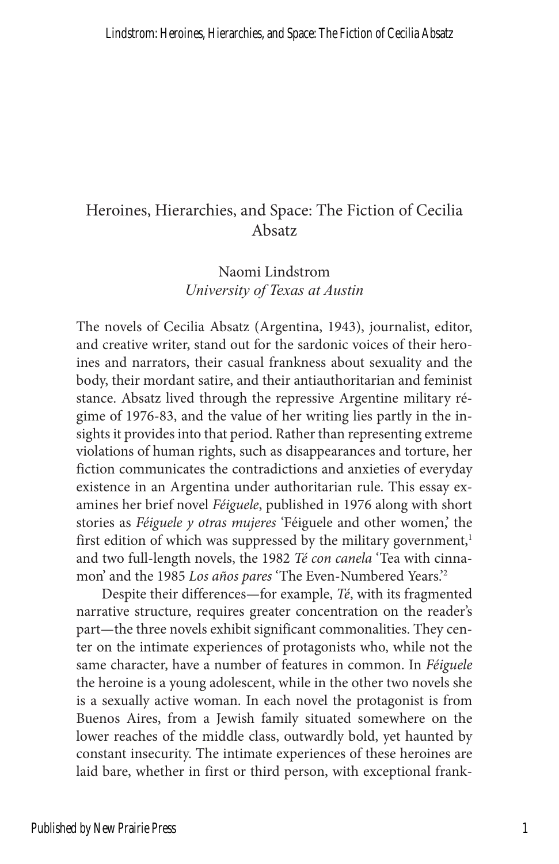## Heroines, Hierarchies, and Space: The Fiction of Cecilia Absatz

### Naomi Lindstrom *University of Texas at Austin*

The novels of Cecilia Absatz (Argentina, 1943), journalist, editor, and creative writer, stand out for the sardonic voices of their heroines and narrators, their casual frankness about sexuality and the body, their mordant satire, and their antiauthoritarian and feminist stance. Absatz lived through the repressive Argentine military régime of 1976-83, and the value of her writing lies partly in the insights it provides into that period. Rather than representing extreme violations of human rights, such as disappearances and torture, her fiction communicates the contradictions and anxieties of everyday existence in an Argentina under authoritarian rule. This essay examines her brief novel *Féiguele*, published in 1976 along with short stories as *Féiguele y otras mujeres* 'Féiguele and other women,' the first edition of which was suppressed by the military government,<sup>1</sup> and two full-length novels, the 1982 *Té con canela* 'Tea with cinnamon' and the 1985 *Los años pares* 'The Even-Numbered Years.'2

Despite their differences—for example, *Té*, with its fragmented narrative structure, requires greater concentration on the reader's part—the three novels exhibit significant commonalities. They center on the intimate experiences of protagonists who, while not the same character, have a number of features in common. In *Féiguele* the heroine is a young adolescent, while in the other two novels she is a sexually active woman. In each novel the protagonist is from Buenos Aires, from a Jewish family situated somewhere on the lower reaches of the middle class, outwardly bold, yet haunted by constant insecurity. The intimate experiences of these heroines are laid bare, whether in first or third person, with exceptional frank-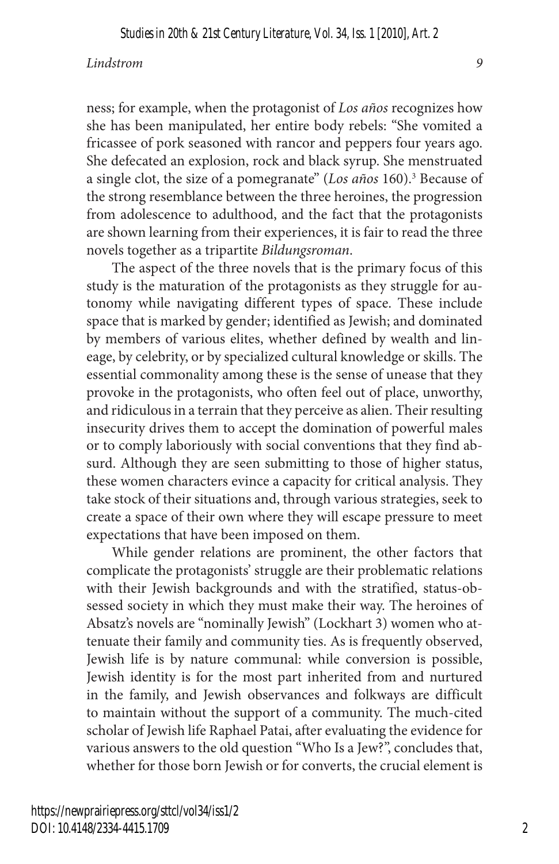ness; for example, when the protagonist of *Los años* recognizes how she has been manipulated, her entire body rebels: "She vomited a fricassee of pork seasoned with rancor and peppers four years ago. She defecated an explosion, rock and black syrup. She menstruated a single clot, the size of a pomegranate" (Los años 160).<sup>3</sup> Because of the strong resemblance between the three heroines, the progression from adolescence to adulthood, and the fact that the protagonists are shown learning from their experiences, it is fair to read the three novels together as a tripartite *Bildungsroman*.

The aspect of the three novels that is the primary focus of this study is the maturation of the protagonists as they struggle for autonomy while navigating different types of space. These include space that is marked by gender; identified as Jewish; and dominated by members of various elites, whether defined by wealth and lineage, by celebrity, or by specialized cultural knowledge or skills. The essential commonality among these is the sense of unease that they provoke in the protagonists, who often feel out of place, unworthy, and ridiculous in a terrain that they perceive as alien. Their resulting insecurity drives them to accept the domination of powerful males or to comply laboriously with social conventions that they find absurd. Although they are seen submitting to those of higher status, these women characters evince a capacity for critical analysis. They take stock of their situations and, through various strategies, seek to create a space of their own where they will escape pressure to meet expectations that have been imposed on them.

While gender relations are prominent, the other factors that complicate the protagonists' struggle are their problematic relations with their Jewish backgrounds and with the stratified, status-obsessed society in which they must make their way. The heroines of Absatz's novels are "nominally Jewish" (Lockhart 3) women who attenuate their family and community ties. As is frequently observed, Jewish life is by nature communal: while conversion is possible, Jewish identity is for the most part inherited from and nurtured in the family, and Jewish observances and folkways are difficult to maintain without the support of a community. The much-cited scholar of Jewish life Raphael Patai, after evaluating the evidence for various answers to the old question "Who Is a Jew?", concludes that, whether for those born Jewish or for converts, the crucial element is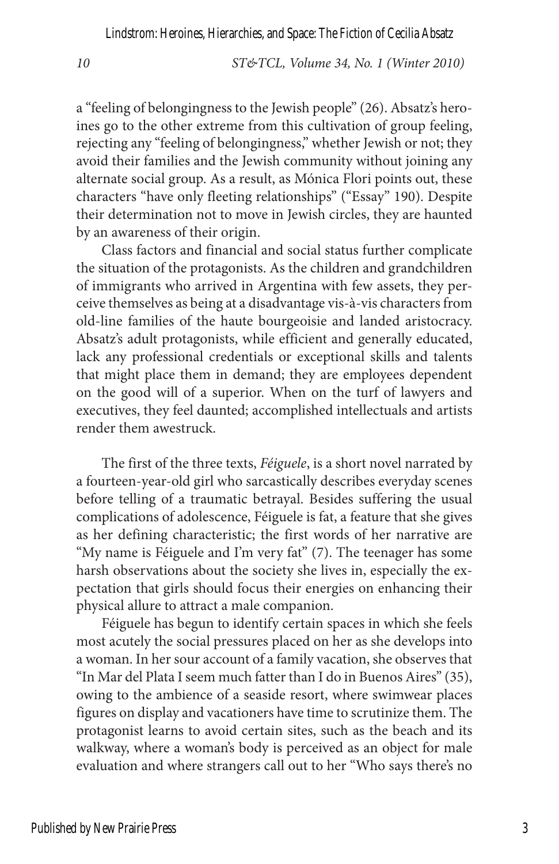a "feeling of belongingness to the Jewish people" (26). Absatz's heroines go to the other extreme from this cultivation of group feeling, rejecting any "feeling of belongingness," whether Jewish or not; they avoid their families and the Jewish community without joining any alternate social group. As a result, as Mónica Flori points out, these characters "have only fleeting relationships" ("Essay" 190). Despite their determination not to move in Jewish circles, they are haunted by an awareness of their origin.

Class factors and financial and social status further complicate the situation of the protagonists. As the children and grandchildren of immigrants who arrived in Argentina with few assets, they perceive themselves as being at a disadvantage vis-à-vis characters from old-line families of the haute bourgeoisie and landed aristocracy. Absatz's adult protagonists, while efficient and generally educated, lack any professional credentials or exceptional skills and talents that might place them in demand; they are employees dependent on the good will of a superior. When on the turf of lawyers and executives, they feel daunted; accomplished intellectuals and artists render them awestruck.

The first of the three texts, *Féiguele*, is a short novel narrated by a fourteen-year-old girl who sarcastically describes everyday scenes before telling of a traumatic betrayal. Besides suffering the usual complications of adolescence, Féiguele is fat, a feature that she gives as her defining characteristic; the first words of her narrative are "My name is Féiguele and I'm very fat" (7). The teenager has some harsh observations about the society she lives in, especially the expectation that girls should focus their energies on enhancing their physical allure to attract a male companion.

Féiguele has begun to identify certain spaces in which she feels most acutely the social pressures placed on her as she develops into a woman. In her sour account of a family vacation, she observes that "In Mar del Plata I seem much fatter than I do in Buenos Aires" (35), owing to the ambience of a seaside resort, where swimwear places figures on display and vacationers have time to scrutinize them. The protagonist learns to avoid certain sites, such as the beach and its walkway, where a woman's body is perceived as an object for male evaluation and where strangers call out to her "Who says there's no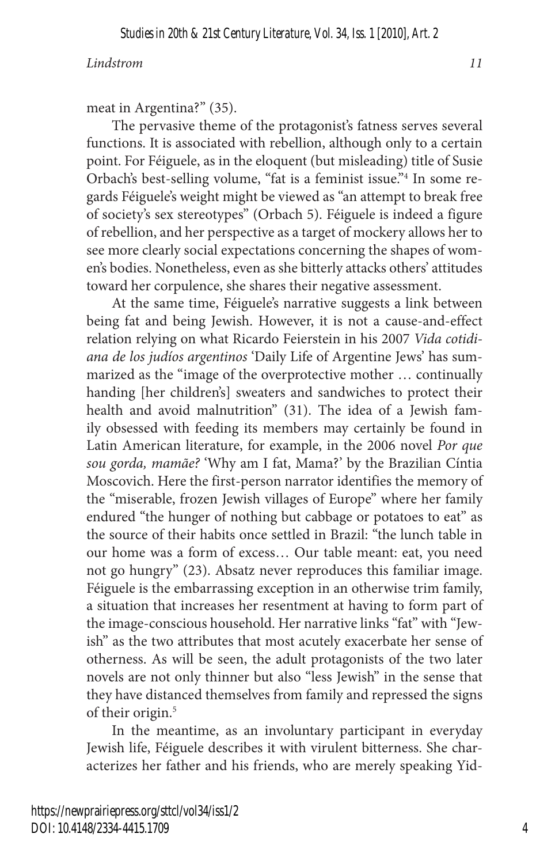meat in Argentina?" (35).

The pervasive theme of the protagonist's fatness serves several functions. It is associated with rebellion, although only to a certain point. For Féiguele, as in the eloquent (but misleading) title of Susie Orbach's best-selling volume, "fat is a feminist issue."4 In some regards Féiguele's weight might be viewed as "an attempt to break free of society's sex stereotypes" (Orbach 5). Féiguele is indeed a figure of rebellion, and her perspective as a target of mockery allows her to see more clearly social expectations concerning the shapes of women's bodies. Nonetheless, even as she bitterly attacks others' attitudes toward her corpulence, she shares their negative assessment.

At the same time, Féiguele's narrative suggests a link between being fat and being Jewish. However, it is not a cause-and-effect relation relying on what Ricardo Feierstein in his 2007 *Vida cotidiana de los judíos argentinos* 'Daily Life of Argentine Jews' has summarized as the "image of the overprotective mother … continually handing [her children's] sweaters and sandwiches to protect their health and avoid malnutrition" (31). The idea of a Jewish family obsessed with feeding its members may certainly be found in Latin American literature, for example, in the 2006 novel *Por que sou gorda, mamãe?* 'Why am I fat, Mama?' by the Brazilian Cíntia Moscovich. Here the first-person narrator identifies the memory of the "miserable, frozen Jewish villages of Europe" where her family endured "the hunger of nothing but cabbage or potatoes to eat" as the source of their habits once settled in Brazil: "the lunch table in our home was a form of excess… Our table meant: eat, you need not go hungry" (23). Absatz never reproduces this familiar image. Féiguele is the embarrassing exception in an otherwise trim family, a situation that increases her resentment at having to form part of the image-conscious household. Her narrative links "fat" with "Jewish" as the two attributes that most acutely exacerbate her sense of otherness. As will be seen, the adult protagonists of the two later novels are not only thinner but also "less Jewish" in the sense that they have distanced themselves from family and repressed the signs of their origin.<sup>5</sup>

In the meantime, as an involuntary participant in everyday Jewish life, Féiguele describes it with virulent bitterness. She characterizes her father and his friends, who are merely speaking Yid-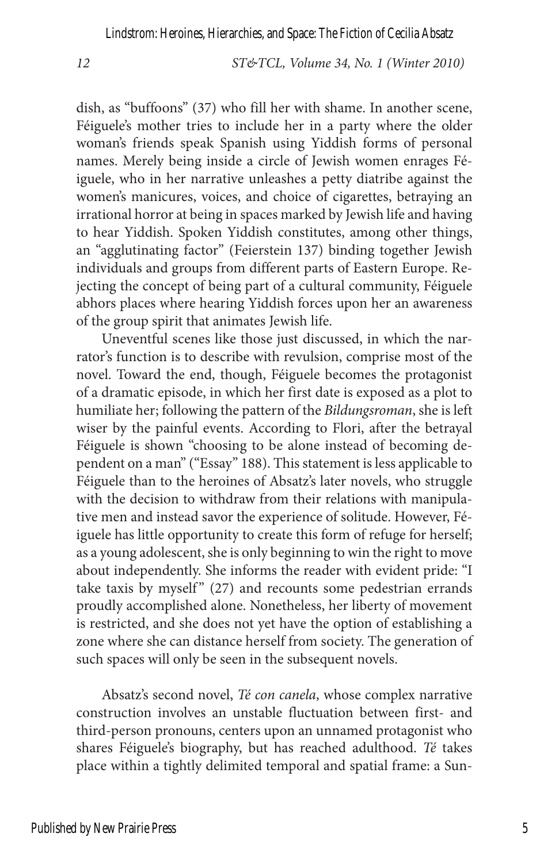dish, as "buffoons" (37) who fill her with shame. In another scene, Féiguele's mother tries to include her in a party where the older woman's friends speak Spanish using Yiddish forms of personal names. Merely being inside a circle of Jewish women enrages Féiguele, who in her narrative unleashes a petty diatribe against the women's manicures, voices, and choice of cigarettes, betraying an irrational horror at being in spaces marked by Jewish life and having to hear Yiddish. Spoken Yiddish constitutes, among other things, an "agglutinating factor" (Feierstein 137) binding together Jewish individuals and groups from different parts of Eastern Europe. Rejecting the concept of being part of a cultural community, Féiguele abhors places where hearing Yiddish forces upon her an awareness of the group spirit that animates Jewish life.

Uneventful scenes like those just discussed, in which the narrator's function is to describe with revulsion, comprise most of the novel. Toward the end, though, Féiguele becomes the protagonist of a dramatic episode, in which her first date is exposed as a plot to humiliate her; following the pattern of the *Bildungsroman*, she is left wiser by the painful events. According to Flori, after the betrayal Féiguele is shown "choosing to be alone instead of becoming dependent on a man" ("Essay" 188). This statement is less applicable to Féiguele than to the heroines of Absatz's later novels, who struggle with the decision to withdraw from their relations with manipulative men and instead savor the experience of solitude. However, Féiguele has little opportunity to create this form of refuge for herself; as a young adolescent, she is only beginning to win the right to move about independently. She informs the reader with evident pride: "I take taxis by myself"  $(27)$  and recounts some pedestrian errands proudly accomplished alone. Nonetheless, her liberty of movement is restricted, and she does not yet have the option of establishing a zone where she can distance herself from society. The generation of such spaces will only be seen in the subsequent novels.

Absatz's second novel, *Té con canela*, whose complex narrative construction involves an unstable fluctuation between first- and third-person pronouns, centers upon an unnamed protagonist who shares Féiguele's biography, but has reached adulthood. *Té* takes place within a tightly delimited temporal and spatial frame: a Sun-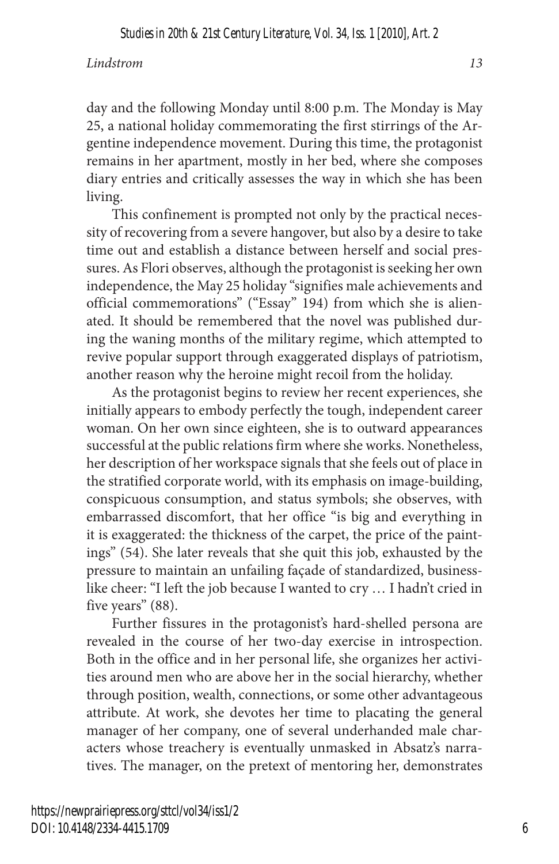day and the following Monday until 8:00 p.m. The Monday is May 25, a national holiday commemorating the first stirrings of the Argentine independence movement. During this time, the protagonist remains in her apartment, mostly in her bed, where she composes diary entries and critically assesses the way in which she has been living.

This confinement is prompted not only by the practical necessity of recovering from a severe hangover, but also by a desire to take time out and establish a distance between herself and social pressures. As Flori observes, although the protagonist is seeking her own independence, the May 25 holiday "signifies male achievements and official commemorations" ("Essay" 194) from which she is alienated. It should be remembered that the novel was published during the waning months of the military regime, which attempted to revive popular support through exaggerated displays of patriotism, another reason why the heroine might recoil from the holiday.

As the protagonist begins to review her recent experiences, she initially appears to embody perfectly the tough, independent career woman. On her own since eighteen, she is to outward appearances successful at the public relations firm where she works. Nonetheless, her description of her workspace signals that she feels out of place in the stratified corporate world, with its emphasis on image-building, conspicuous consumption, and status symbols; she observes, with embarrassed discomfort, that her office "is big and everything in it is exaggerated: the thickness of the carpet, the price of the paintings" (54). She later reveals that she quit this job, exhausted by the pressure to maintain an unfailing façade of standardized, businesslike cheer: "I left the job because I wanted to cry … I hadn't cried in five years" (88).

Further fissures in the protagonist's hard-shelled persona are revealed in the course of her two-day exercise in introspection. Both in the office and in her personal life, she organizes her activities around men who are above her in the social hierarchy, whether through position, wealth, connections, or some other advantageous attribute. At work, she devotes her time to placating the general manager of her company, one of several underhanded male characters whose treachery is eventually unmasked in Absatz's narratives. The manager, on the pretext of mentoring her, demonstrates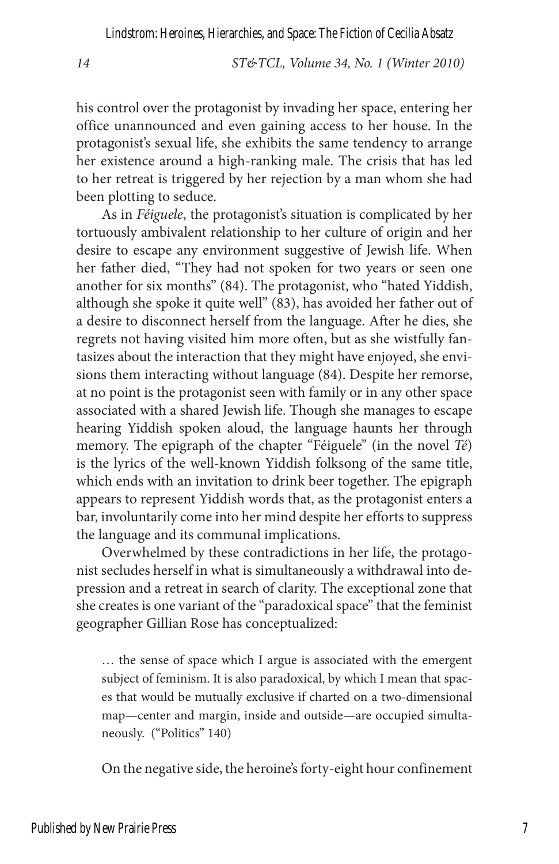his control over the protagonist by invading her space, entering her office unannounced and even gaining access to her house. In the protagonist's sexual life, she exhibits the same tendency to arrange her existence around a high-ranking male. The crisis that has led to her retreat is triggered by her rejection by a man whom she had been plotting to seduce.

As in *Féiguele*, the protagonist's situation is complicated by her tortuously ambivalent relationship to her culture of origin and her desire to escape any environment suggestive of Jewish life. When her father died, "They had not spoken for two years or seen one another for six months" (84). The protagonist, who "hated Yiddish, although she spoke it quite well" (83), has avoided her father out of a desire to disconnect herself from the language. After he dies, she regrets not having visited him more often, but as she wistfully fantasizes about the interaction that they might have enjoyed, she envisions them interacting without language (84). Despite her remorse, at no point is the protagonist seen with family or in any other space associated with a shared Jewish life. Though she manages to escape hearing Yiddish spoken aloud, the language haunts her through memory. The epigraph of the chapter "Féiguele" (in the novel *Té*) is the lyrics of the well-known Yiddish folksong of the same title, which ends with an invitation to drink beer together. The epigraph appears to represent Yiddish words that, as the protagonist enters a bar, involuntarily come into her mind despite her efforts to suppress the language and its communal implications.

Overwhelmed by these contradictions in her life, the protagonist secludes herself in what is simultaneously a withdrawal into depression and a retreat in search of clarity. The exceptional zone that she creates is one variant of the "paradoxical space" that the feminist geographer Gillian Rose has conceptualized:

… the sense of space which I argue is associated with the emergent subject of feminism. It is also paradoxical, by which I mean that spaces that would be mutually exclusive if charted on a two-dimensional map—center and margin, inside and outside—are occupied simultaneously. ("Politics" 140)

On the negative side, the heroine's forty-eight hour confinement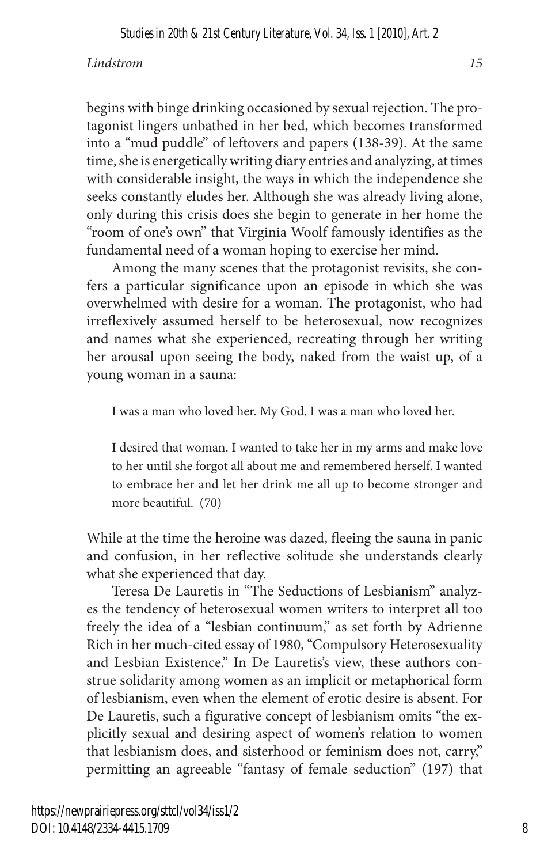begins with binge drinking occasioned by sexual rejection. The protagonist lingers unbathed in her bed, which becomes transformed into a "mud puddle" of leftovers and papers (138-39). At the same time, she is energetically writing diary entries and analyzing, at times with considerable insight, the ways in which the independence she seeks constantly eludes her. Although she was already living alone, only during this crisis does she begin to generate in her home the "room of one's own" that Virginia Woolf famously identifies as the fundamental need of a woman hoping to exercise her mind.

Among the many scenes that the protagonist revisits, she confers a particular significance upon an episode in which she was overwhelmed with desire for a woman. The protagonist, who had irreflexively assumed herself to be heterosexual, now recognizes and names what she experienced, recreating through her writing her arousal upon seeing the body, naked from the waist up, of a young woman in a sauna:

I was a man who loved her. My God, I was a man who loved her.

I desired that woman. I wanted to take her in my arms and make love to her until she forgot all about me and remembered herself. I wanted to embrace her and let her drink me all up to become stronger and more beautiful. (70)

While at the time the heroine was dazed, fleeing the sauna in panic and confusion, in her reflective solitude she understands clearly what she experienced that day.

Teresa De Lauretis in "The Seductions of Lesbianism" analyzes the tendency of heterosexual women writers to interpret all too freely the idea of a "lesbian continuum," as set forth by Adrienne Rich in her much-cited essay of 1980, "Compulsory Heterosexuality and Lesbian Existence." In De Lauretis's view, these authors construe solidarity among women as an implicit or metaphorical form of lesbianism, even when the element of erotic desire is absent. For De Lauretis, such a figurative concept of lesbianism omits "the explicitly sexual and desiring aspect of women's relation to women that lesbianism does, and sisterhood or feminism does not, carry," permitting an agreeable "fantasy of female seduction" (197) that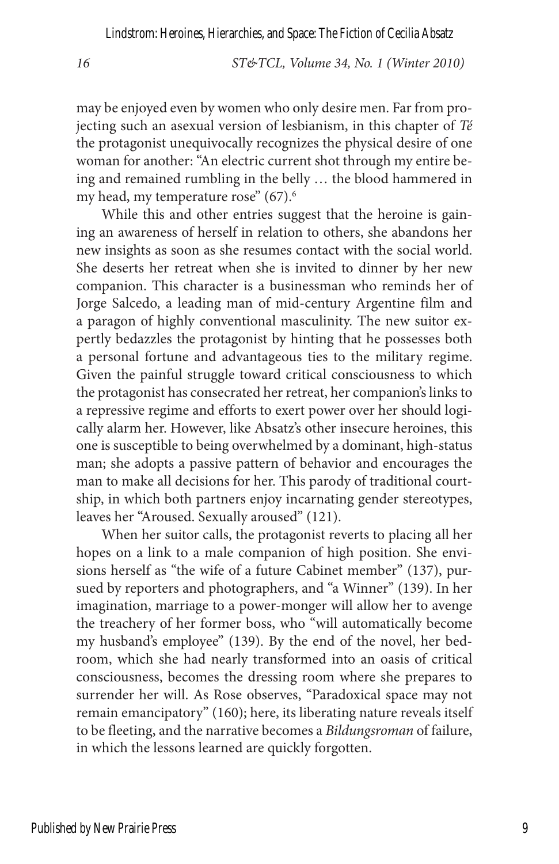may be enjoyed even by women who only desire men. Far from projecting such an asexual version of lesbianism, in this chapter of *Té*  the protagonist unequivocally recognizes the physical desire of one woman for another: "An electric current shot through my entire being and remained rumbling in the belly … the blood hammered in my head, my temperature rose" (67).<sup>6</sup>

While this and other entries suggest that the heroine is gaining an awareness of herself in relation to others, she abandons her new insights as soon as she resumes contact with the social world. She deserts her retreat when she is invited to dinner by her new companion. This character is a businessman who reminds her of Jorge Salcedo, a leading man of mid-century Argentine film and a paragon of highly conventional masculinity. The new suitor expertly bedazzles the protagonist by hinting that he possesses both a personal fortune and advantageous ties to the military regime. Given the painful struggle toward critical consciousness to which the protagonist has consecrated her retreat, her companion's links to a repressive regime and efforts to exert power over her should logically alarm her. However, like Absatz's other insecure heroines, this one is susceptible to being overwhelmed by a dominant, high-status man; she adopts a passive pattern of behavior and encourages the man to make all decisions for her. This parody of traditional courtship, in which both partners enjoy incarnating gender stereotypes, leaves her "Aroused. Sexually aroused" (121).

When her suitor calls, the protagonist reverts to placing all her hopes on a link to a male companion of high position. She envisions herself as "the wife of a future Cabinet member" (137), pursued by reporters and photographers, and "a Winner" (139). In her imagination, marriage to a power-monger will allow her to avenge the treachery of her former boss, who "will automatically become my husband's employee" (139). By the end of the novel, her bedroom, which she had nearly transformed into an oasis of critical consciousness, becomes the dressing room where she prepares to surrender her will. As Rose observes, "Paradoxical space may not remain emancipatory" (160); here, its liberating nature reveals itself to be fleeting, and the narrative becomes a *Bildungsroman* of failure, in which the lessons learned are quickly forgotten.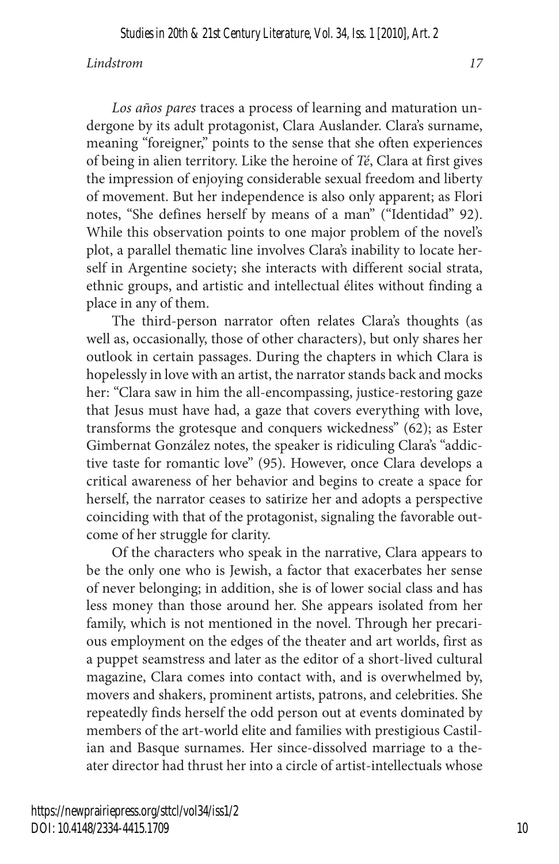*Los años pares* traces a process of learning and maturation undergone by its adult protagonist, Clara Auslander. Clara's surname, meaning "foreigner," points to the sense that she often experiences of being in alien territory. Like the heroine of *Té*, Clara at first gives the impression of enjoying considerable sexual freedom and liberty of movement. But her independence is also only apparent; as Flori notes, "She defines herself by means of a man" ("Identidad" 92). While this observation points to one major problem of the novel's plot, a parallel thematic line involves Clara's inability to locate herself in Argentine society; she interacts with different social strata, ethnic groups, and artistic and intellectual élites without finding a place in any of them.

The third-person narrator often relates Clara's thoughts (as well as, occasionally, those of other characters), but only shares her outlook in certain passages. During the chapters in which Clara is hopelessly in love with an artist, the narrator stands back and mocks her: "Clara saw in him the all-encompassing, justice-restoring gaze that Jesus must have had, a gaze that covers everything with love, transforms the grotesque and conquers wickedness" (62); as Ester Gimbernat González notes, the speaker is ridiculing Clara's "addictive taste for romantic love" (95). However, once Clara develops a critical awareness of her behavior and begins to create a space for herself, the narrator ceases to satirize her and adopts a perspective coinciding with that of the protagonist, signaling the favorable outcome of her struggle for clarity.

Of the characters who speak in the narrative, Clara appears to be the only one who is Jewish, a factor that exacerbates her sense of never belonging; in addition, she is of lower social class and has less money than those around her. She appears isolated from her family, which is not mentioned in the novel. Through her precarious employment on the edges of the theater and art worlds, first as a puppet seamstress and later as the editor of a short-lived cultural magazine, Clara comes into contact with, and is overwhelmed by, movers and shakers, prominent artists, patrons, and celebrities. She repeatedly finds herself the odd person out at events dominated by members of the art-world elite and families with prestigious Castilian and Basque surnames. Her since-dissolved marriage to a theater director had thrust her into a circle of artist-intellectuals whose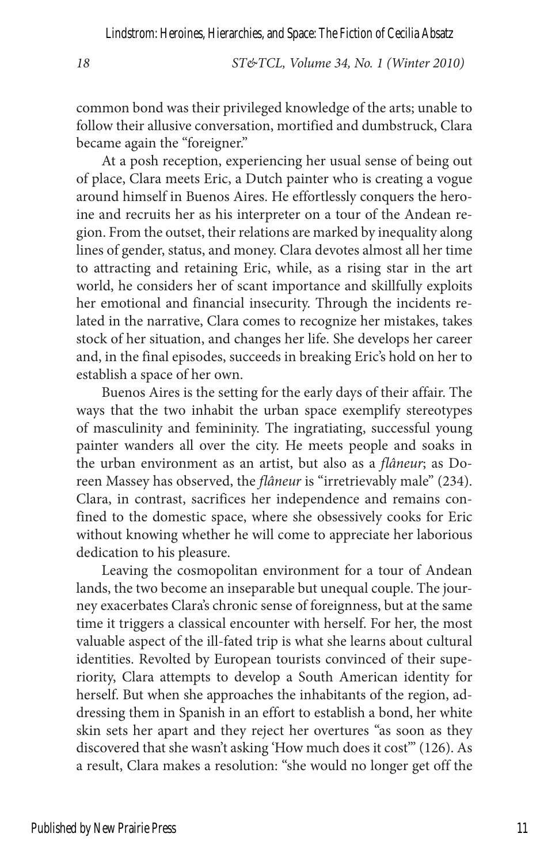common bond was their privileged knowledge of the arts; unable to follow their allusive conversation, mortified and dumbstruck, Clara became again the "foreigner."

At a posh reception, experiencing her usual sense of being out of place, Clara meets Eric, a Dutch painter who is creating a vogue around himself in Buenos Aires. He effortlessly conquers the heroine and recruits her as his interpreter on a tour of the Andean region. From the outset, their relations are marked by inequality along lines of gender, status, and money. Clara devotes almost all her time to attracting and retaining Eric, while, as a rising star in the art world, he considers her of scant importance and skillfully exploits her emotional and financial insecurity. Through the incidents related in the narrative, Clara comes to recognize her mistakes, takes stock of her situation, and changes her life. She develops her career and, in the final episodes, succeeds in breaking Eric's hold on her to establish a space of her own.

Buenos Aires is the setting for the early days of their affair. The ways that the two inhabit the urban space exemplify stereotypes of masculinity and femininity. The ingratiating, successful young painter wanders all over the city. He meets people and soaks in the urban environment as an artist, but also as a *flâneur*; as Doreen Massey has observed, the *flâneur* is "irretrievably male" (234). Clara, in contrast, sacrifices her independence and remains confined to the domestic space, where she obsessively cooks for Eric without knowing whether he will come to appreciate her laborious dedication to his pleasure.

Leaving the cosmopolitan environment for a tour of Andean lands, the two become an inseparable but unequal couple. The journey exacerbates Clara's chronic sense of foreignness, but at the same time it triggers a classical encounter with herself. For her, the most valuable aspect of the ill-fated trip is what she learns about cultural identities. Revolted by European tourists convinced of their superiority, Clara attempts to develop a South American identity for herself. But when she approaches the inhabitants of the region, addressing them in Spanish in an effort to establish a bond, her white skin sets her apart and they reject her overtures "as soon as they discovered that she wasn't asking 'How much does it cost'" (126). As a result, Clara makes a resolution: "she would no longer get off the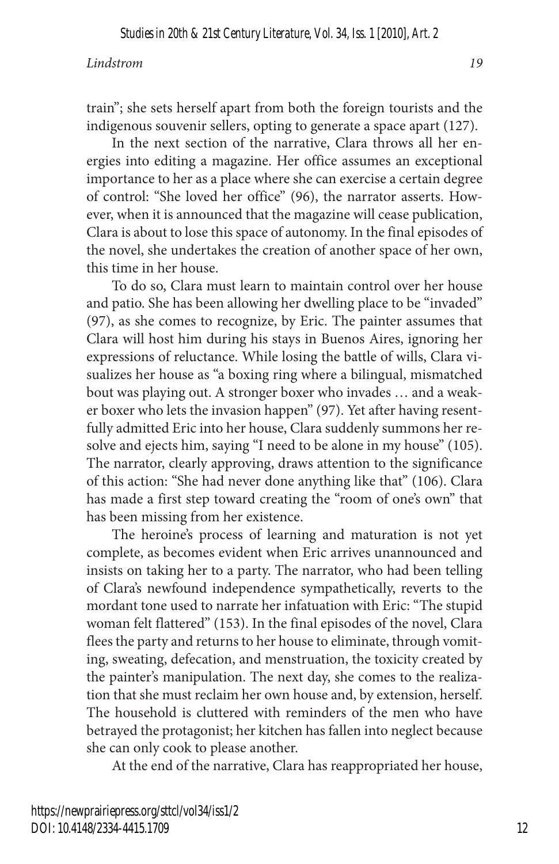train"; she sets herself apart from both the foreign tourists and the indigenous souvenir sellers, opting to generate a space apart (127).

In the next section of the narrative, Clara throws all her energies into editing a magazine. Her office assumes an exceptional importance to her as a place where she can exercise a certain degree of control: "She loved her office" (96), the narrator asserts. However, when it is announced that the magazine will cease publication, Clara is about to lose this space of autonomy. In the final episodes of the novel, she undertakes the creation of another space of her own, this time in her house.

To do so, Clara must learn to maintain control over her house and patio. She has been allowing her dwelling place to be "invaded" (97), as she comes to recognize, by Eric. The painter assumes that Clara will host him during his stays in Buenos Aires, ignoring her expressions of reluctance. While losing the battle of wills, Clara visualizes her house as "a boxing ring where a bilingual, mismatched bout was playing out. A stronger boxer who invades … and a weaker boxer who lets the invasion happen" (97). Yet after having resentfully admitted Eric into her house, Clara suddenly summons her resolve and ejects him, saying "I need to be alone in my house" (105). The narrator, clearly approving, draws attention to the significance of this action: "She had never done anything like that" (106). Clara has made a first step toward creating the "room of one's own" that has been missing from her existence.

The heroine's process of learning and maturation is not yet complete, as becomes evident when Eric arrives unannounced and insists on taking her to a party. The narrator, who had been telling of Clara's newfound independence sympathetically, reverts to the mordant tone used to narrate her infatuation with Eric: "The stupid woman felt flattered" (153). In the final episodes of the novel, Clara flees the party and returns to her house to eliminate, through vomiting, sweating, defecation, and menstruation, the toxicity created by the painter's manipulation. The next day, she comes to the realization that she must reclaim her own house and, by extension, herself. The household is cluttered with reminders of the men who have betrayed the protagonist; her kitchen has fallen into neglect because she can only cook to please another.

At the end of the narrative, Clara has reappropriated her house,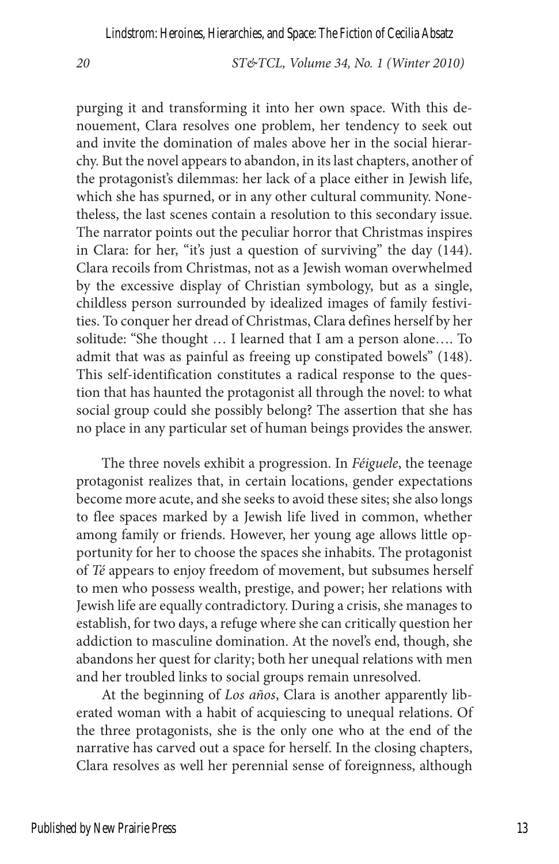purging it and transforming it into her own space. With this denouement, Clara resolves one problem, her tendency to seek out and invite the domination of males above her in the social hierarchy. But the novel appears to abandon, in its last chapters, another of the protagonist's dilemmas: her lack of a place either in Jewish life, which she has spurned, or in any other cultural community. Nonetheless, the last scenes contain a resolution to this secondary issue. The narrator points out the peculiar horror that Christmas inspires in Clara: for her, "it's just a question of surviving" the day (144). Clara recoils from Christmas, not as a Jewish woman overwhelmed by the excessive display of Christian symbology, but as a single, childless person surrounded by idealized images of family festivities. To conquer her dread of Christmas, Clara defines herself by her solitude: "She thought … I learned that I am a person alone…. To admit that was as painful as freeing up constipated bowels" (148). This self-identification constitutes a radical response to the question that has haunted the protagonist all through the novel: to what social group could she possibly belong? The assertion that she has no place in any particular set of human beings provides the answer.

The three novels exhibit a progression. In *Féiguele*, the teenage protagonist realizes that, in certain locations, gender expectations become more acute, and she seeks to avoid these sites; she also longs to flee spaces marked by a Jewish life lived in common, whether among family or friends. However, her young age allows little opportunity for her to choose the spaces she inhabits. The protagonist of *Té* appears to enjoy freedom of movement, but subsumes herself to men who possess wealth, prestige, and power; her relations with Jewish life are equally contradictory. During a crisis, she manages to establish, for two days, a refuge where she can critically question her addiction to masculine domination. At the novel's end, though, she abandons her quest for clarity; both her unequal relations with men and her troubled links to social groups remain unresolved.

At the beginning of *Los años*, Clara is another apparently liberated woman with a habit of acquiescing to unequal relations. Of the three protagonists, she is the only one who at the end of the narrative has carved out a space for herself. In the closing chapters, Clara resolves as well her perennial sense of foreignness, although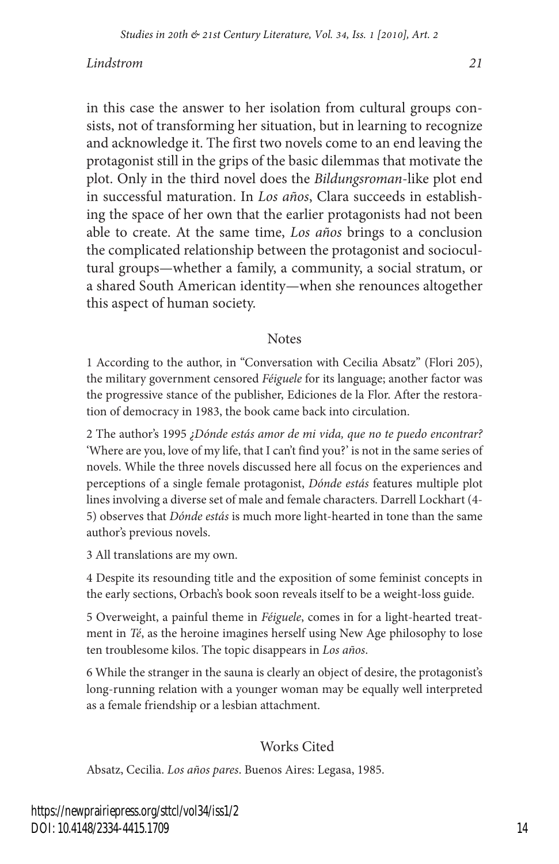in this case the answer to her isolation from cultural groups consists, not of transforming her situation, but in learning to recognize and acknowledge it. The first two novels come to an end leaving the protagonist still in the grips of the basic dilemmas that motivate the plot. Only in the third novel does the *Bildungsroman*-like plot end in successful maturation. In *Los años*, Clara succeeds in establishing the space of her own that the earlier protagonists had not been able to create. At the same time, *Los años* brings to a conclusion the complicated relationship between the protagonist and sociocultural groups—whether a family, a community, a social stratum, or a shared South American identity—when she renounces altogether this aspect of human society.

#### Notes

1 According to the author, in "Conversation with Cecilia Absatz" (Flori 205), the military government censored *Féiguele* for its language; another factor was the progressive stance of the publisher, Ediciones de la Flor. After the restoration of democracy in 1983, the book came back into circulation.

2 The author's 1995 *¿Dónde estás amor de mi vida, que no te puedo encontrar?*  'Where are you, love of my life, that I can't find you?' is not in the same series of novels. While the three novels discussed here all focus on the experiences and perceptions of a single female protagonist, *Dónde estás* features multiple plot lines involving a diverse set of male and female characters. Darrell Lockhart (4- 5) observes that *Dónde estás* is much more light-hearted in tone than the same author's previous novels.

3 All translations are my own.

4 Despite its resounding title and the exposition of some feminist concepts in the early sections, Orbach's book soon reveals itself to be a weight-loss guide.

5 Overweight, a painful theme in *Féiguele*, comes in for a light-hearted treatment in *Té*, as the heroine imagines herself using New Age philosophy to lose ten troublesome kilos. The topic disappears in *Los años*.

6 While the stranger in the sauna is clearly an object of desire, the protagonist's long-running relation with a younger woman may be equally well interpreted as a female friendship or a lesbian attachment.

### Works Cited

Absatz, Cecilia. *Los años pares*. Buenos Aires: Legasa, 1985.

https://newprairiepress.org/sttcl/vol34/iss1/2 DOI: 10.4148/2334-4415.1709